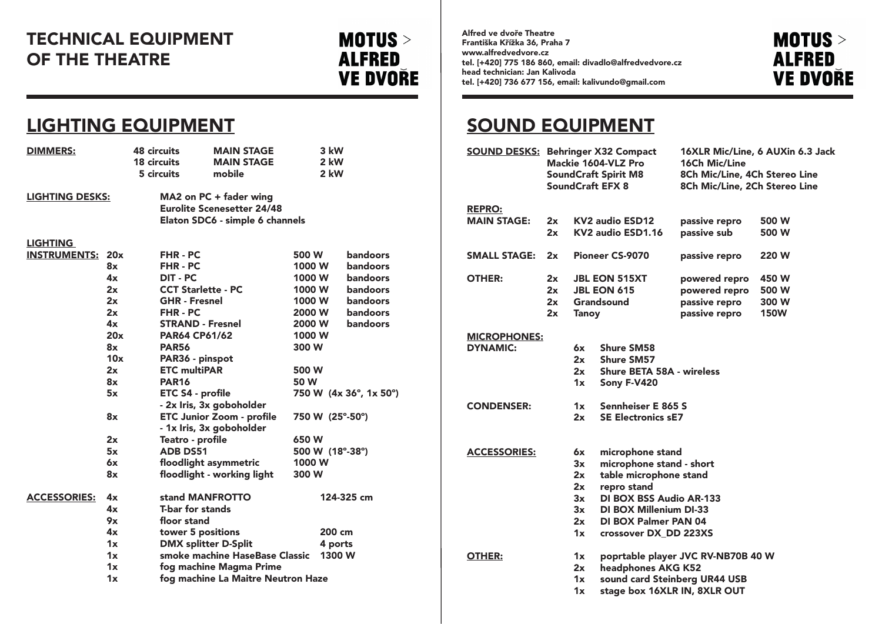# LIGHTING EQUIPMENT

| <b>DIMMERS:</b>         |     | <b>48 circuits</b><br><b>18 circuits</b><br>5 circuits                                         | <b>MAIN STAGE</b><br><b>MAIN STAGE</b><br>mobile             |        | 3 kW<br>2 kW<br>2 kW |                        |  |  |
|-------------------------|-----|------------------------------------------------------------------------------------------------|--------------------------------------------------------------|--------|----------------------|------------------------|--|--|
| <b>LIGHTING DESKS:</b>  |     | MA2 on PC + fader wing<br><b>Eurolite Scenesetter 24/48</b><br>Elaton SDC6 - simple 6 channels |                                                              |        |                      |                        |  |  |
| <b>LIGHTING</b>         |     |                                                                                                |                                                              |        |                      |                        |  |  |
| <b>INSTRUMENTS: 20x</b> |     |                                                                                                | FHR-PC                                                       |        |                      | <b>bandoors</b>        |  |  |
|                         | 8x  | FHR-PC                                                                                         |                                                              | 1000 W | bandoors             |                        |  |  |
|                         | 4x  | <b>DIT - PC</b>                                                                                |                                                              | 1000 W |                      | <b>bandoors</b>        |  |  |
|                         | 2x  |                                                                                                | <b>CCT Starlette - PC</b>                                    | 1000 W |                      | <b>bandoors</b>        |  |  |
|                         | 2x  |                                                                                                | <b>GHR - Fresnel</b>                                         |        | 1000 W               | bandoors               |  |  |
|                         | 2x  | <b>FHR-PC</b>                                                                                  |                                                              | 2000 W |                      | <b>bandoors</b>        |  |  |
|                         | 4x  | <b>STRAND - Fresnel</b>                                                                        |                                                              | 2000 W |                      | <b>bandoors</b>        |  |  |
|                         | 20x | <b>PAR64 CP61/62</b>                                                                           |                                                              | 1000 W |                      |                        |  |  |
|                         | 8x  | <b>PAR56</b>                                                                                   | 300 W                                                        |        |                      |                        |  |  |
|                         | 10x | PAR36 - pinspot                                                                                |                                                              |        |                      |                        |  |  |
|                         | 2x  | <b>ETC multiPAR</b>                                                                            |                                                              | 500 W  |                      |                        |  |  |
| 8x                      |     | <b>PAR16</b>                                                                                   |                                                              | 50 W   |                      |                        |  |  |
|                         | 5x  | ETC S4 - profile                                                                               | - 2x Iris, 3x goboholder                                     |        |                      | 750 W (4x 36°, 1x 50°) |  |  |
|                         | 8x  |                                                                                                | <b>ETC Junior Zoom - profile</b><br>- 1x Iris, 3x goboholder |        |                      | 750 W (25°-50°)        |  |  |
|                         | 2x  | Teatro - profile                                                                               |                                                              | 650 W  |                      |                        |  |  |
| 5x<br>6x                |     | <b>ADB DS51</b>                                                                                |                                                              |        | 500 W (18°-38°)      |                        |  |  |
|                         |     |                                                                                                | 1000 W<br>floodlight asymmetric                              |        |                      |                        |  |  |
|                         | 8x  |                                                                                                | floodlight - working light<br>300 W                          |        |                      |                        |  |  |
| <b>ACCESSORIES:</b>     | 4x  |                                                                                                | stand MANFROTTO                                              |        |                      | 124-325 cm             |  |  |
|                         | 4x  | <b>T-bar for stands</b>                                                                        |                                                              |        |                      |                        |  |  |
|                         | 9x  | floor stand                                                                                    |                                                              |        |                      |                        |  |  |
|                         | 4x  | tower 5 positions                                                                              | 200 cm                                                       |        |                      |                        |  |  |
|                         | 1x  |                                                                                                | <b>DMX splitter D-Split</b>                                  |        |                      | 4 ports                |  |  |
|                         | 1x  |                                                                                                | smoke machine HaseBase Classic                               | 1300 W |                      |                        |  |  |
|                         | 1x  |                                                                                                | fog machine Magma Prime                                      |        |                      |                        |  |  |
|                         | 1x  | fog machine La Maitre Neutron Haze                                                             |                                                              |        |                      |                        |  |  |



**XLR Mic/Line, 6 AUXin 6.3 Jack** Ch Mic/Line h Mic/Line, 4Ch Stereo Line h Mic/Line, 2Ch Stereo Line

# SOUND EQUIPMENT

| <b>GE</b>             | 3 kW                |               |                        | <b>SOUND DESKS:</b> |                     |                          | <b>Behringer X32 Compact</b>       | <b>16XLR Mic/Line, 6 AUXi</b>    |                               |              |
|-----------------------|---------------------|---------------|------------------------|---------------------|---------------------|--------------------------|------------------------------------|----------------------------------|-------------------------------|--------------|
| <b>GE</b>             | 2 kW                |               |                        |                     | Mackie 1604-VLZ Pro |                          |                                    | <b>16Ch Mic/Line</b>             |                               |              |
| 2 kW                  |                     |               |                        |                     |                     |                          | <b>SoundCraft Spirit M8</b>        | 8Ch Mic/Line, 4Ch Stere          |                               |              |
|                       |                     |               |                        |                     |                     |                          |                                    | <b>SoundCraft EFX 8</b>          | 8Ch Mic/Line, 2Ch Stere       |              |
| ing                   |                     |               |                        |                     |                     |                          |                                    |                                  |                               |              |
| 4/48                  |                     |               |                        | <b>REPRO:</b>       |                     |                          |                                    |                                  |                               |              |
| <b>5 channels</b>     |                     |               |                        | <b>MAIN STAGE:</b>  |                     | 2x                       |                                    | <b>KV2 audio ESD12</b>           | passive repro                 | 500 W        |
|                       |                     |               |                        |                     |                     | 2x                       |                                    | KV2 audio ESD1.16                | passive sub                   | 500 W        |
|                       | 500 W               |               | <b>bandoors</b>        | <b>SMALL STAGE:</b> |                     | 2x                       |                                    | <b>Pioneer CS-9070</b>           | passive repro                 | <b>220 W</b> |
|                       | 1000 W              |               | <b>bandoors</b>        |                     |                     |                          |                                    |                                  |                               |              |
|                       | 1000 W              |               | bandoors               | <b>OTHER:</b>       |                     | 2x                       |                                    | <b>JBL EON 515XT</b>             | powered repro                 | 450 W        |
|                       | 1000 W              |               | <b>bandoors</b>        |                     |                     | 2x                       |                                    | <b>JBL EON 615</b>               | powered repro                 | 500 W        |
|                       | 1000 W              |               | <b>bandoors</b>        |                     |                     | 2x                       |                                    | Grandsound                       | passive repro                 | 300 W        |
|                       | 2000 W              |               | bandoors               |                     |                     | 2x                       | <b>Tanoy</b>                       |                                  | passive repro                 | <b>150W</b>  |
|                       | 2000 W              |               | bandoors               |                     |                     |                          |                                    |                                  |                               |              |
|                       | 1000 W              |               |                        | <b>MICROPHONES:</b> |                     |                          |                                    |                                  |                               |              |
|                       | 300 W               |               |                        | <b>DYNAMIC:</b>     |                     |                          | 6x                                 | <b>Shure SM58</b>                |                               |              |
|                       |                     |               |                        |                     |                     |                          | 2x                                 | <b>Shure SM57</b>                |                               |              |
|                       | 500 W               |               |                        |                     |                     |                          | 2x                                 | <b>Shure BETA 58A - wireless</b> |                               |              |
|                       | 50 W                |               |                        |                     |                     |                          | 1x                                 | Sony F-V420                      |                               |              |
|                       |                     |               | 750 W (4x 36°, 1x 50°) |                     |                     |                          |                                    |                                  |                               |              |
| P.                    |                     |               |                        | <b>CONDENSER:</b>   |                     |                          | 1x                                 | <b>Sennheiser E 865 S</b>        |                               |              |
| file\                 |                     |               | 750 W (25°-50°)        |                     |                     |                          | 2x                                 | <b>SE Electronics sE7</b>        |                               |              |
| P.                    |                     |               |                        |                     |                     |                          |                                    |                                  |                               |              |
|                       | 650 W               |               |                        |                     |                     |                          |                                    |                                  |                               |              |
|                       |                     |               | 500 W (18°-38°)        | <b>ACCESSORIES:</b> |                     |                          | 6x                                 | microphone stand                 |                               |              |
|                       | 1000 W              |               |                        |                     |                     |                          | 3x                                 | microphone stand - short         |                               |              |
| 300 W<br>4ht          |                     |               |                        |                     |                     |                          | 2x                                 | table microphone stand           |                               |              |
|                       |                     |               |                        |                     |                     |                          | 2x                                 | repro stand                      |                               |              |
|                       |                     |               | 124-325 cm             |                     |                     |                          | 3x                                 | <b>DI BOX BSS Audio AR-133</b>   |                               |              |
|                       |                     |               |                        |                     |                     |                          | 3x                                 | <b>DI BOX Millenium DI-33</b>    |                               |              |
|                       |                     |               |                        |                     |                     |                          | 2x                                 | <b>DI BOX Palmer PAN 04</b>      |                               |              |
|                       |                     | 200 cm        |                        |                     |                     |                          | 1x                                 | crossover DX_DD 223XS            |                               |              |
|                       |                     | 4 ports       |                        |                     |                     |                          |                                    |                                  |                               |              |
| ase Classic<br>1300 W |                     | <b>OTHER:</b> |                        |                     | 1x                  |                          | poprtable player JVC RV-NB70B 40 W |                                  |                               |              |
| 'rime                 |                     |               |                        |                     |                     | headphones AKG K52<br>2x |                                    |                                  |                               |              |
|                       | <b>Neutron Haze</b> |               |                        |                     |                     |                          | 1x                                 |                                  | sound card Steinberg UR44 USB |              |
|                       |                     |               |                        |                     |                     |                          | 1x                                 |                                  | stage box 16XLR IN, 8XLR OUT  |              |

# TECHNICAL EQUIPMENT OF THE THEATRE

**MOTUS** > **ALFRED VE DVOŘE**  Alfred ve dvoře Theatre Františka Křížka 36, Praha 7 www.alfredvedvore.cz tel. [+420] 775 186 860, email: divadlo@alfredvedvore.cz head technician: Jan Kalivoda tel. [+420] 736 677 156, email: kalivundo@gmail.com